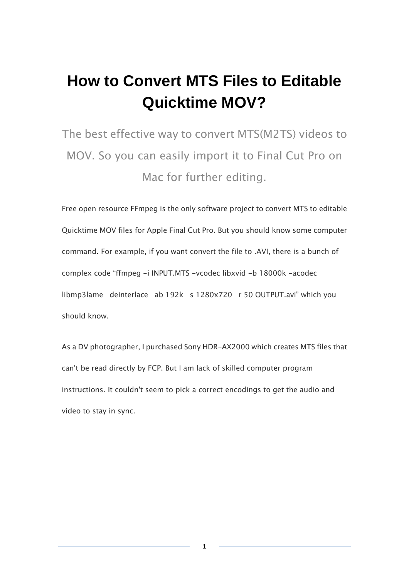### **How to Convert MTS Files to Editable Quicktime MOV?**

The best effective way to convert MTS(M2TS) videos to MOV. So you can easily import it to Final Cut Pro on Mac for further editing.

Free open resource FFmpeg is the only software project to convert MTS to editable Quicktime MOV files for Apple Final Cut Pro. But you should know some computer command. For example, if you want convert the file to .AVI, there is a bunch of complex code "ffmpeg -i INPUT.MTS -vcodec libxvid -b 18000k -acodec libmp3lame -deinterlace -ab 192k -s 1280x720 -r 50 OUTPUT.avi" which you should know.

As a DV photographer, I purchased Sony HDR-AX2000 which creates MTS files that can't be read directly by FCP. But I am lack of skilled computer program instructions. It couldn't seem to pick a correct encodings to get the audio and video to stay in sync.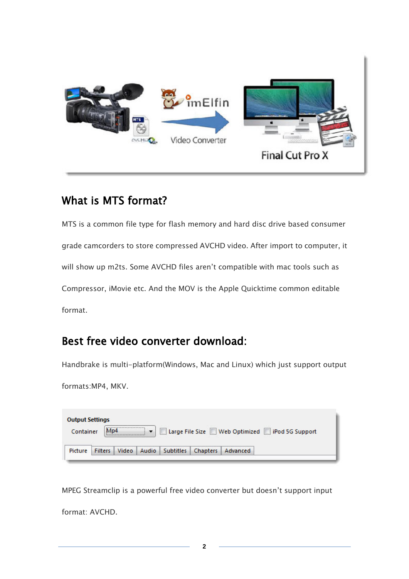

#### What is MTS format?

MTS is a common file type for flash memory and hard disc drive based consumer grade camcorders to store compressed AVCHD video. After import to computer, it will show up m2ts. Some AVCHD files aren't compatible with mac tools such as Compressor, iMovie etc. And the MOV is the Apple Quicktime common editable format.

#### Best free video converter download:

Handbrake is multi-platform(Windows, Mac and Linux) which just support output

formats:MP4, MKV.

| Container | M <sub>D</sub> 4 |  |  | Large File Size Web Optimized   iPod 5G Support |
|-----------|------------------|--|--|-------------------------------------------------|
|           |                  |  |  |                                                 |

MPEG Streamclip is a powerful free video converter but doesn't support input format: AVCHD.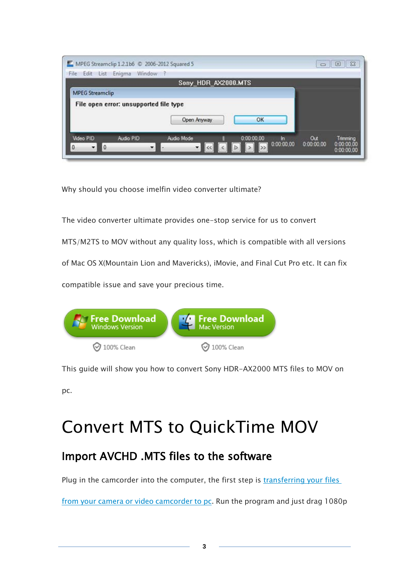| e.<br>Edit List Enigma<br>File         | MPEG Streamclip 1.2.1b6 © 2006-2012 Squared 5<br>Window | $\Sigma$<br>$\Box$<br>$\qquad \qquad \Box$ |
|----------------------------------------|---------------------------------------------------------|--------------------------------------------|
|                                        | Sony_HDR_AX2000.MTS                                     |                                            |
| <b>MPEG Streamclip</b>                 |                                                         |                                            |
| File open error: unsupported file type |                                                         |                                            |
|                                        | OK<br>Open Anyway                                       |                                            |
|                                        |                                                         |                                            |
|                                        |                                                         |                                            |

Why should you choose imelfin video converter ultimate?

The video converter ultimate provides one-stop service for us to convert

MTS/M2TS to MOV without any quality loss, which is compatible with all versions

of Mac OS X(Mountain Lion and Mavericks), iMovie, and Final Cut Pro etc. It can fix

compatible issue and save your precious time.



This guide will show you how to convert Sony HDR-AX2000 MTS files to MOV on

pc.

## Convert MTS to QuickTime MOV

#### Import AVCHD .MTS files to the software

Plug in the camcorder into the computer, the first step is transferring your files

[from your camera or video camcorder to pc.](http://windows.microsoft.com/en-us/windows-xp/help/moviemaker/download-video-from-camera-to-computer) Run the program and just drag 1080p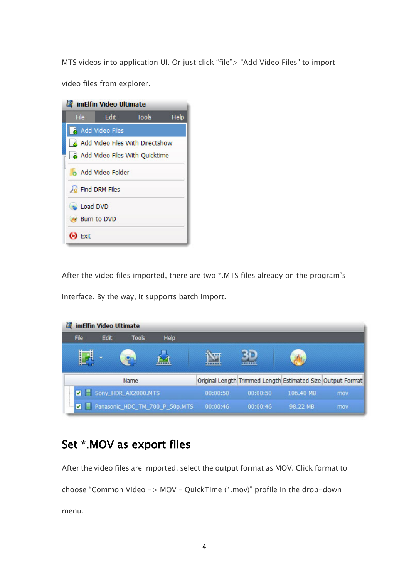MTS videos into application UI. Or just click "file"> "Add Video Files" to import

video files from explorer.



After the video files imported, there are two \*.MTS files already on the program's

interface. By the way, it supports batch import.

| imElfin Video Ultimate |                     |              |                                |          |                                                             |           |     |  |  |
|------------------------|---------------------|--------------|--------------------------------|----------|-------------------------------------------------------------|-----------|-----|--|--|
| <b>File</b>            | Edit                | <b>Tools</b> | <b>Help</b>                    |          |                                                             |           |     |  |  |
| Ë                      |                     |              |                                |          |                                                             |           |     |  |  |
|                        |                     | Name         |                                |          | Original Length Trimmed Length Estimated Size Output Format |           |     |  |  |
|                        | Sony_HDR_AX2000.MTS |              |                                |          | 00:00:50                                                    | 106.40 MB | mov |  |  |
|                        |                     |              | Panasonic_HDC_TM_700_P_50p.MTS | 00:00:46 | 00:00:46                                                    | 98.22 MB  | mov |  |  |

#### Set \*.MOV as export files

After the video files are imported, select the output format as MOV. Click format to choose "Common Video -> MOV – QuickTime (\*.mov)" profile in the drop-down menu.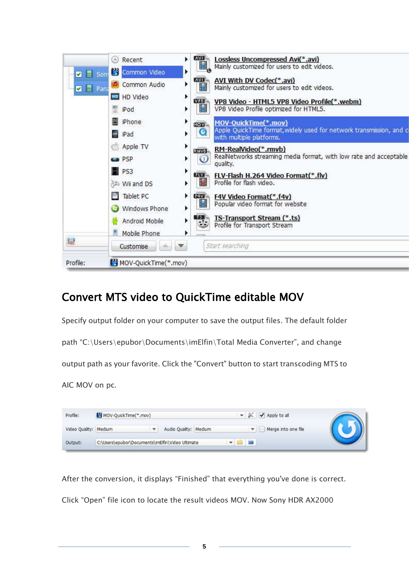| Profile:                     | MOV-QuickTime(*.mov) |                                                                                                           |
|------------------------------|----------------------|-----------------------------------------------------------------------------------------------------------|
| 鶣                            | Customise            | Start searching                                                                                           |
|                              | Mobile Phone         | r                                                                                                         |
|                              | Android Mobile       | <b>TS-Transport Stream (*.ts)</b><br>TS 1<br>▶<br>Profile for Transport Stream                            |
|                              | Windows Phone        | ▦<br>Popular video format for website<br>▶                                                                |
|                              | Tablet PC<br>ш       | ▶<br>EEW.<br><b>F4V Video Format(*.f4v)</b>                                                               |
|                              | <b>Ni and DS</b>     | ▦<br>Profile for flash video.<br>٠                                                                        |
|                              | P <sub>S</sub> 3     | r<br><b>ERS</b><br>FLV-Flash H.264 Video Format(*.flv)                                                    |
|                              | $\blacksquare$ PSP   | RealNetworks streaming media format, with low rate and acceptable<br>▶<br>$_{\mathbb{O}}$<br>quality.     |
|                              | Apple TV             | ▶<br>RM-RealVideo(*.rmvb)<br><b>EUXUS</b>                                                                 |
|                              | iPad                 | Apple QuickTime format, widely used for network transmission, and c<br>Q<br>Þ<br>with multiple platforms. |
|                              | Phone                | ٠<br>MOV-QuickTime(*.mov)<br>MO <sub>W</sub>                                                              |
|                              | 쁭<br>iPod            | ▦<br>VP8 Video Profile optimized for HTML5.<br>r                                                          |
|                              | HD Video             | Þ<br><b>MASI</b><br>VP8 Video - HTML5 VP8 Video Profile(*.webm)                                           |
| $\nabla$ $\blacksquare$ Pana | Common Audio         | <b>AVI</b><br>AVI With DV Codec(*.avi)<br>r<br>▦<br>Mainly customized for users to edit videos.           |
| <b>M</b> F Son               | Common Video         | Mainly customized for users to edit videos.<br>×                                                          |
|                              | Recent<br>$^{(1)}$   | <b>AVE</b><br><b>Lossless Uncompressed Avi(*.avi)</b>                                                     |

#### Convert MTS video to QuickTime editable MOV

Specify output folder on your computer to save the output files. The default folder

path "C:\Users\epubor\Documents\imElfin\Total Media Converter", and change

output path as your favorite. Click the "Convert" button to start transcoding MTS to

AIC MOV on pc.

| Profile:              | MOV-QuickTime(*.mov)                             |   |                       |  | ▼ <mark>※   √</mark> Apply to all |  |
|-----------------------|--------------------------------------------------|---|-----------------------|--|-----------------------------------|--|
| Video Quality: Medium |                                                  | ▼ | Audio Quality: Medium |  | Merge into one file               |  |
| Output:               | C:\Users\epubor\Documents\imElfin\Video Ultimate |   |                       |  |                                   |  |

After the conversion, it displays "Finished" that everything you've done is correct. Click "Open" file icon to locate the result videos MOV. Now Sony HDR AX2000